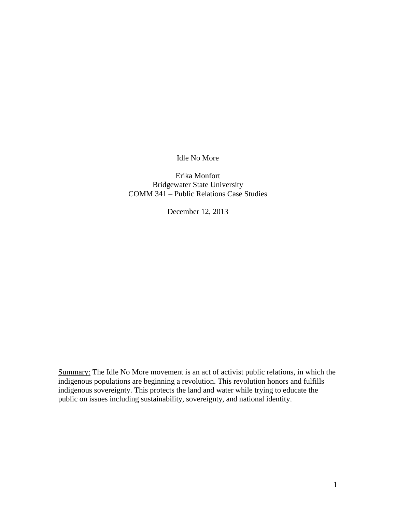Idle No More

Erika Monfort Bridgewater State University COMM 341 – Public Relations Case Studies

December 12, 2013

Summary: The Idle No More movement is an act of activist public relations, in which the indigenous populations are beginning a revolution. This revolution honors and fulfills indigenous sovereignty. This protects the land and water while trying to educate the public on issues including sustainability, sovereignty, and national identity.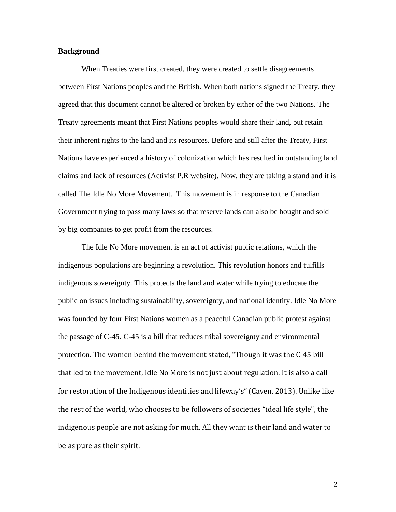## **Background**

When Treaties were first created, they were created to settle disagreements between First Nations peoples and the British. When both nations signed the Treaty, they agreed that this document cannot be altered or broken by either of the two Nations. The Treaty agreements meant that First Nations peoples would share their land, but retain their inherent rights to the land and its resources. Before and still after the Treaty, First Nations have experienced a history of colonization which has resulted in outstanding land claims and lack of resources (Activist P.R website). Now, they are taking a stand and it is called The Idle No More Movement. This movement is in response to the Canadian Government trying to pass many laws so that reserve lands can also be bought and sold by big companies to get profit from the resources.

The Idle No More movement is an act of activist public relations, which the indigenous populations are beginning a revolution. This revolution honors and fulfills indigenous sovereignty. This protects the land and water while trying to educate the public on issues including sustainability, sovereignty, and national identity. Idle No More was founded by four First Nations women as a peaceful Canadian public protest against the passage of C-45. C-45 is a bill that reduces tribal sovereignty and environmental protection. The women behind the movement stated, "Though it was the C-45 bill that led to the movement, Idle No More is not just about regulation. It is also a call for restoration of the Indigenous identities and lifeway's" (Caven, 2013). Unlike like the rest of the world, who chooses to be followers of societies "ideal life style", the indigenous people are not asking for much. All they want is their land and water to be as pure as their spirit.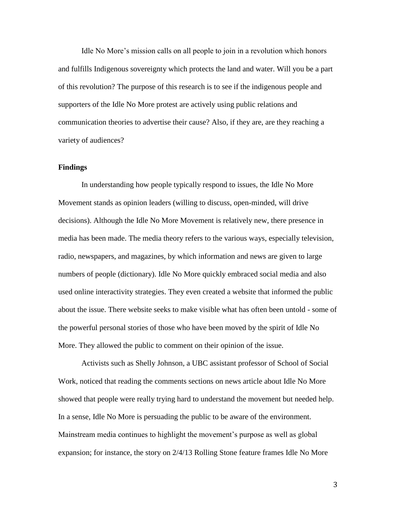Idle No More's mission calls on all people to join in a revolution which honors and fulfills Indigenous sovereignty which protects the land and water. Will you be a part of this revolution? The purpose of this research is to see if the indigenous people and supporters of the Idle No More protest are actively using public relations and communication theories to advertise their cause? Also, if they are, are they reaching a variety of audiences?

## **Findings**

In understanding how people typically respond to issues, the Idle No More Movement stands as opinion leaders (willing to discuss, open-minded, will drive decisions). Although the Idle No More Movement is relatively new, there presence in media has been made. The media theory refers to the various ways, especially television, radio, newspapers, and magazines, by which information and news are given to large numbers of people (dictionary). Idle No More quickly embraced social media and also used online interactivity strategies. They even created a website that informed the public about the issue. There website seeks to make visible what has often been untold - some of the powerful personal stories of those who have been moved by the spirit of Idle No More. They allowed the public to comment on their opinion of the issue.

Activists such as Shelly Johnson, a UBC assistant professor of School of Social Work, noticed that reading the comments sections on news article about Idle No More showed that people were really trying hard to understand the movement but needed help. In a sense, Idle No More is persuading the public to be aware of the environment. Mainstream media continues to highlight the movement's purpose as well as global expansion; for instance, the story on 2/4/13 Rolling Stone feature frames Idle No More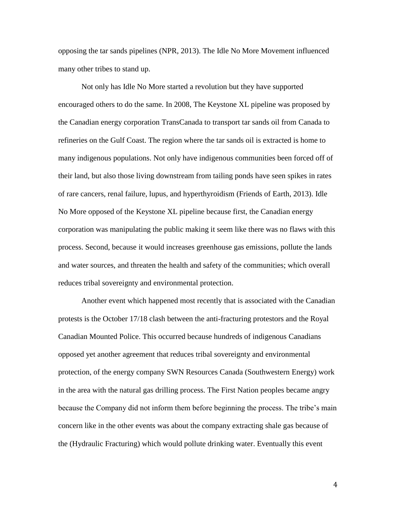opposing the tar sands pipelines (NPR, 2013). The Idle No More Movement influenced many other tribes to stand up.

Not only has Idle No More started a revolution but they have supported encouraged others to do the same. In 2008, The Keystone XL pipeline was proposed by the Canadian energy corporation TransCanada to transport tar sands oil from Canada to refineries on the Gulf Coast. The region where the tar sands oil is extracted is home to many indigenous populations. Not only have indigenous communities been forced off of their land, but also those living downstream from tailing ponds have seen spikes in rates of rare cancers, renal failure, lupus, and hyperthyroidism (Friends of Earth, 2013). Idle No More opposed of the Keystone XL pipeline because first, the Canadian energy corporation was manipulating the public making it seem like there was no flaws with this process. Second, because it would increases greenhouse gas emissions, pollute the lands and water sources, and threaten the health and safety of the communities; which overall reduces tribal sovereignty and environmental protection.

Another event which happened most recently that is associated with the Canadian protests is the October 17/18 clash between the anti-fracturing protestors and the Royal Canadian Mounted Police. This occurred because hundreds of indigenous Canadians opposed yet another agreement that reduces tribal sovereignty and environmental protection, of the energy company SWN Resources Canada (Southwestern Energy) work in the area with the natural gas drilling process. The First Nation peoples became angry because the Company did not inform them before beginning the process. The tribe's main concern like in the other events was about the company extracting shale gas because of the (Hydraulic Fracturing) which would pollute drinking water. Eventually this event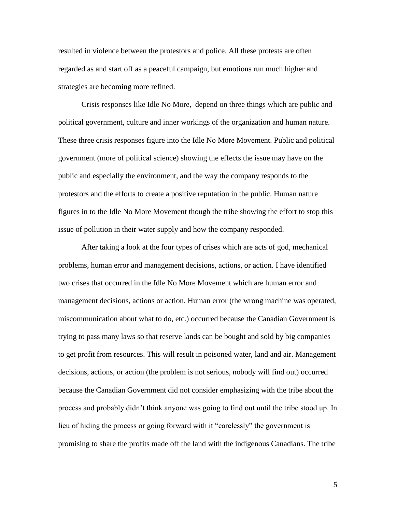resulted in violence between the protestors and police. All these protests are often regarded as and start off as a peaceful campaign, but emotions run much higher and strategies are becoming more refined.

Crisis responses like Idle No More, depend on three things which are public and political government, culture and inner workings of the organization and human nature. These three crisis responses figure into the Idle No More Movement. Public and political government (more of political science) showing the effects the issue may have on the public and especially the environment, and the way the company responds to the protestors and the efforts to create a positive reputation in the public. Human nature figures in to the Idle No More Movement though the tribe showing the effort to stop this issue of pollution in their water supply and how the company responded.

After taking a look at the four types of crises which are acts of god, mechanical problems, human error and management decisions, actions, or action. I have identified two crises that occurred in the Idle No More Movement which are human error and management decisions, actions or action. Human error (the wrong machine was operated, miscommunication about what to do, etc.) occurred because the Canadian Government is trying to pass many laws so that reserve lands can be bought and sold by big companies to get profit from resources. This will result in poisoned water, land and air. Management decisions, actions, or action (the problem is not serious, nobody will find out) occurred because the Canadian Government did not consider emphasizing with the tribe about the process and probably didn't think anyone was going to find out until the tribe stood up. In lieu of hiding the process or going forward with it "carelessly" the government is promising to share the profits made off the land with the indigenous Canadians. The tribe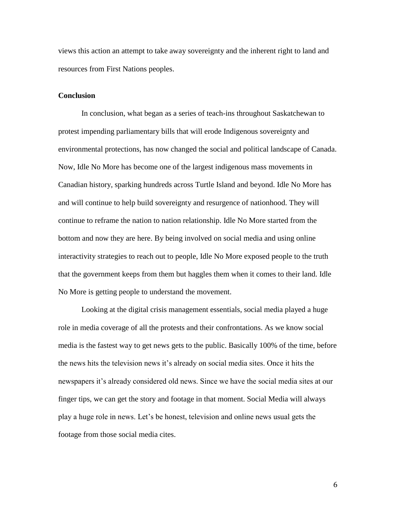views this action an attempt to take away sovereignty and the inherent right to land and resources from First Nations peoples.

## **Conclusion**

In conclusion, what began as a series of teach-ins throughout Saskatchewan to protest impending parliamentary bills that will erode Indigenous sovereignty and environmental protections, has now changed the social and political landscape of Canada. Now, Idle No More has become one of the largest indigenous mass movements in Canadian history, sparking hundreds across Turtle Island and beyond. Idle No More has and will continue to help build sovereignty and resurgence of nationhood. They will continue to reframe the nation to nation relationship. Idle No More started from the bottom and now they are here. By being involved on social media and using online interactivity strategies to reach out to people, Idle No More exposed people to the truth that the government keeps from them but haggles them when it comes to their land. Idle No More is getting people to understand the movement.

Looking at the digital crisis management essentials, social media played a huge role in media coverage of all the protests and their confrontations. As we know social media is the fastest way to get news gets to the public. Basically 100% of the time, before the news hits the television news it's already on social media sites. Once it hits the newspapers it's already considered old news. Since we have the social media sites at our finger tips, we can get the story and footage in that moment. Social Media will always play a huge role in news. Let's be honest, television and online news usual gets the footage from those social media cites.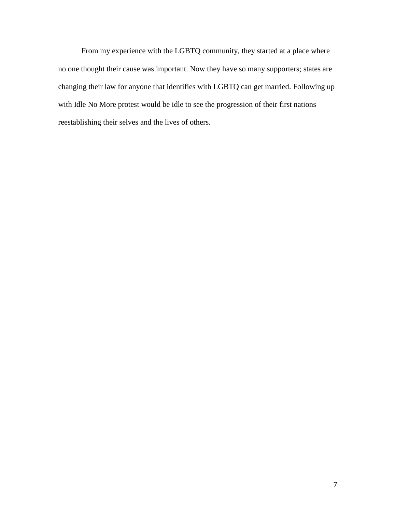From my experience with the LGBTQ community, they started at a place where no one thought their cause was important. Now they have so many supporters; states are changing their law for anyone that identifies with LGBTQ can get married. Following up with Idle No More protest would be idle to see the progression of their first nations reestablishing their selves and the lives of others.